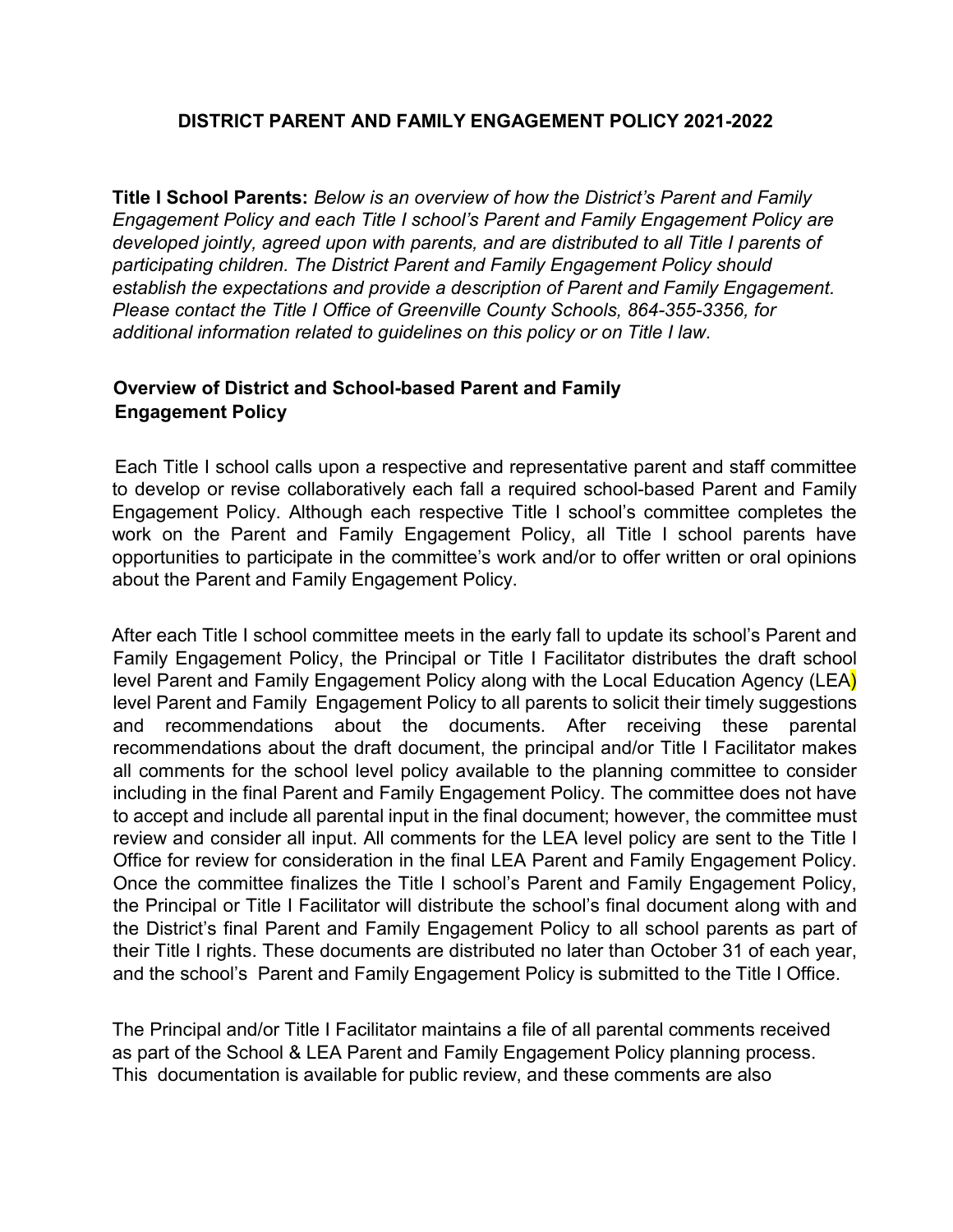### **DISTRICT PARENT AND FAMILY ENGAGEMENT POLICY 2021-2022**

**Title I School Parents:** *Below is an overview of how the District's Parent and Family Engagement Policy and each Title I school's Parent and Family Engagement Policy are developed jointly, agreed upon with parents, and are distributed to all Title I parents of participating children. The District Parent and Family Engagement Policy should establish the expectations and provide a description of Parent and Family Engagement. Please contact the Title I Office of Greenville County Schools, 864-355-3356, for additional information related to guidelines on this policy or on Title I law.*

## **Overview of District and School-based Parent and Family Engagement Policy**

Each Title I school calls upon a respective and representative parent and staff committee to develop or revise collaboratively each fall a required school-based Parent and Family Engagement Policy. Although each respective Title I school's committee completes the work on the Parent and Family Engagement Policy, all Title I school parents have opportunities to participate in the committee's work and/or to offer written or oral opinions about the Parent and Family Engagement Policy.

After each Title I school committee meets in the early fall to update its school's Parent and Family Engagement Policy, the Principal or Title I Facilitator distributes the draft school level Parent and Family Engagement Policy along with the Local Education Agency (LEA) level Parent and Family Engagement Policy to all parents to solicit their timely suggestions and recommendations about the documents. After receiving these parental recommendations about the draft document, the principal and/or Title I Facilitator makes all comments for the school level policy available to the planning committee to consider including in the final Parent and Family Engagement Policy. The committee does not have to accept and include all parental input in the final document; however, the committee must review and consider all input. All comments for the LEA level policy are sent to the Title I Office for review for consideration in the final LEA Parent and Family Engagement Policy. Once the committee finalizes the Title I school's Parent and Family Engagement Policy, the Principal or Title I Facilitator will distribute the school's final document along with and the District's final Parent and Family Engagement Policy to all school parents as part of their Title I rights. These documents are distributed no later than October 31 of each year, and the school's Parent and Family Engagement Policy is submitted to the Title I Office.

The Principal and/or Title I Facilitator maintains a file of all parental comments received as part of the School & LEA Parent and Family Engagement Policy planning process. This documentation is available for public review, and these comments are also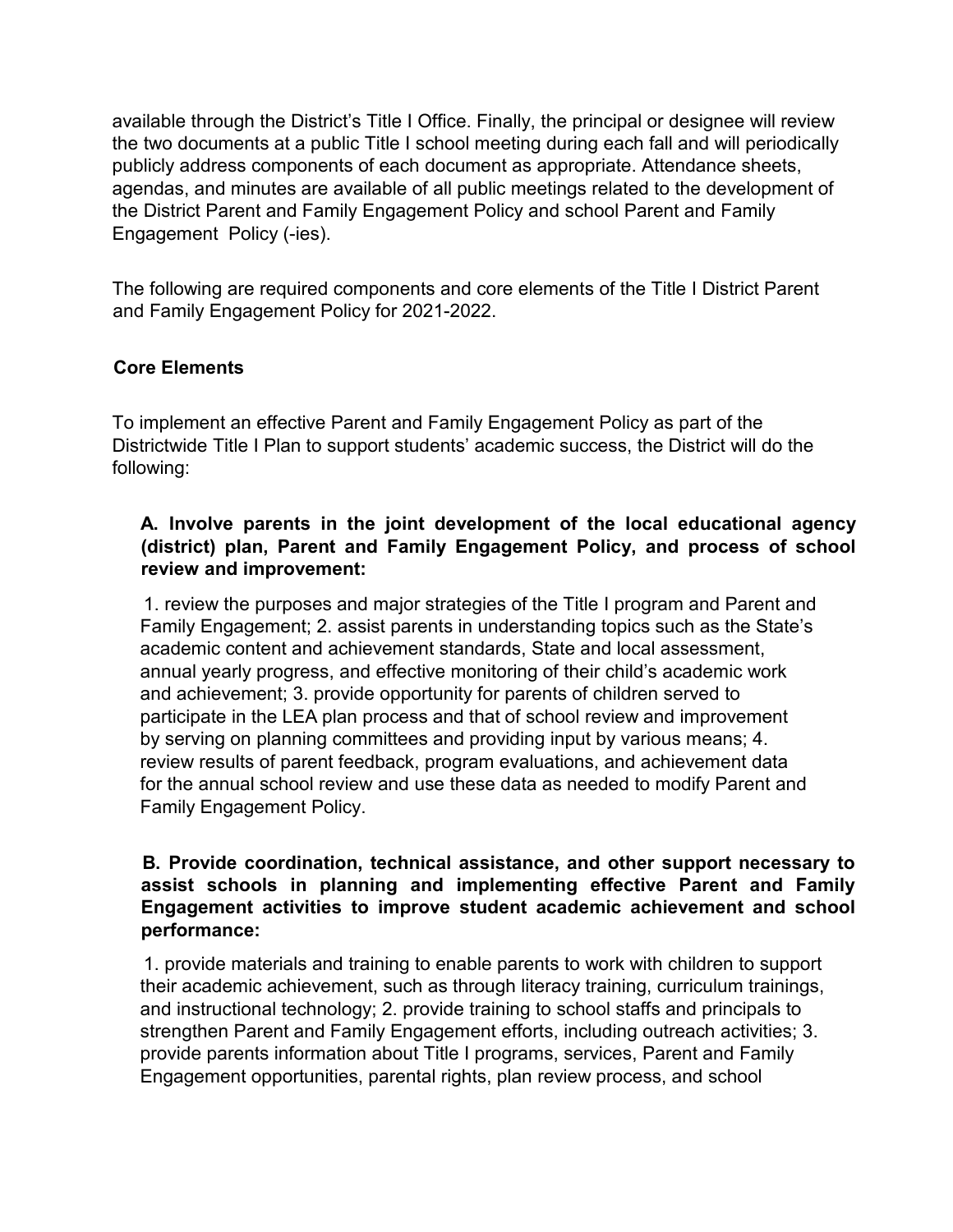available through the District's Title I Office. Finally, the principal or designee will review the two documents at a public Title I school meeting during each fall and will periodically publicly address components of each document as appropriate. Attendance sheets, agendas, and minutes are available of all public meetings related to the development of the District Parent and Family Engagement Policy and school Parent and Family Engagement Policy (-ies).

The following are required components and core elements of the Title I District Parent and Family Engagement Policy for 2021-2022.

### **Core Elements**

To implement an effective Parent and Family Engagement Policy as part of the Districtwide Title I Plan to support students' academic success, the District will do the following:

#### **A. Involve parents in the joint development of the local educational agency (district) plan, Parent and Family Engagement Policy, and process of school review and improvement:**

1. review the purposes and major strategies of the Title I program and Parent and Family Engagement; 2. assist parents in understanding topics such as the State's academic content and achievement standards, State and local assessment, annual yearly progress, and effective monitoring of their child's academic work and achievement; 3. provide opportunity for parents of children served to participate in the LEA plan process and that of school review and improvement by serving on planning committees and providing input by various means; 4. review results of parent feedback, program evaluations, and achievement data for the annual school review and use these data as needed to modify Parent and Family Engagement Policy.

### **B. Provide coordination, technical assistance, and other support necessary to assist schools in planning and implementing effective Parent and Family Engagement activities to improve student academic achievement and school performance:**

1. provide materials and training to enable parents to work with children to support their academic achievement, such as through literacy training, curriculum trainings, and instructional technology; 2. provide training to school staffs and principals to strengthen Parent and Family Engagement efforts, including outreach activities; 3. provide parents information about Title I programs, services, Parent and Family Engagement opportunities, parental rights, plan review process, and school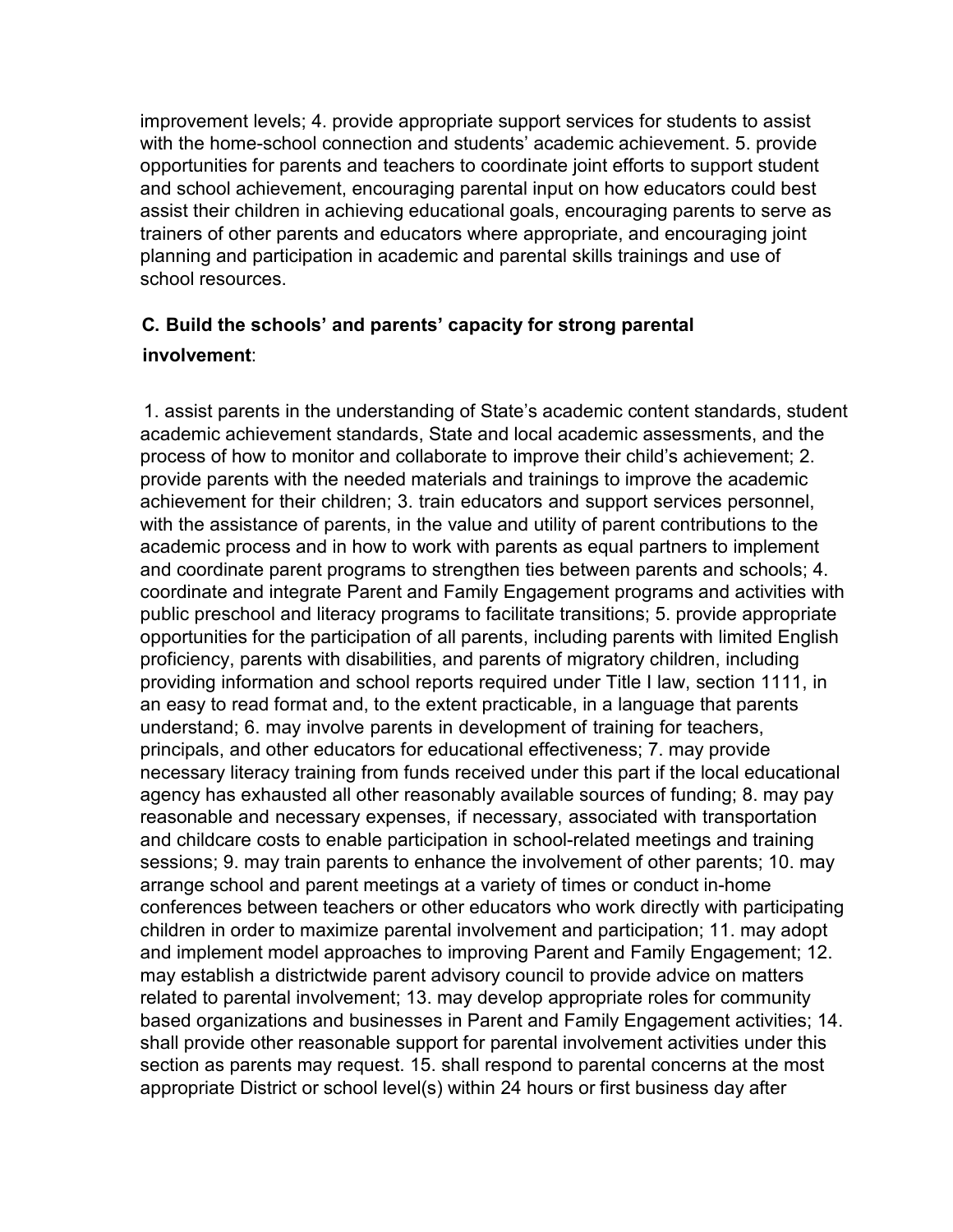improvement levels; 4. provide appropriate support services for students to assist with the home-school connection and students' academic achievement. 5. provide opportunities for parents and teachers to coordinate joint efforts to support student and school achievement, encouraging parental input on how educators could best assist their children in achieving educational goals, encouraging parents to serve as trainers of other parents and educators where appropriate, and encouraging joint planning and participation in academic and parental skills trainings and use of school resources.

# **C. Build the schools' and parents' capacity for strong parental**

### **involvement**:

1. assist parents in the understanding of State's academic content standards, student academic achievement standards, State and local academic assessments, and the process of how to monitor and collaborate to improve their child's achievement; 2. provide parents with the needed materials and trainings to improve the academic achievement for their children; 3. train educators and support services personnel, with the assistance of parents, in the value and utility of parent contributions to the academic process and in how to work with parents as equal partners to implement and coordinate parent programs to strengthen ties between parents and schools; 4. coordinate and integrate Parent and Family Engagement programs and activities with public preschool and literacy programs to facilitate transitions; 5. provide appropriate opportunities for the participation of all parents, including parents with limited English proficiency, parents with disabilities, and parents of migratory children, including providing information and school reports required under Title I law, section 1111, in an easy to read format and, to the extent practicable, in a language that parents understand; 6. may involve parents in development of training for teachers, principals, and other educators for educational effectiveness; 7. may provide necessary literacy training from funds received under this part if the local educational agency has exhausted all other reasonably available sources of funding; 8. may pay reasonable and necessary expenses, if necessary, associated with transportation and childcare costs to enable participation in school-related meetings and training sessions; 9. may train parents to enhance the involvement of other parents; 10. may arrange school and parent meetings at a variety of times or conduct in-home conferences between teachers or other educators who work directly with participating children in order to maximize parental involvement and participation; 11. may adopt and implement model approaches to improving Parent and Family Engagement; 12. may establish a districtwide parent advisory council to provide advice on matters related to parental involvement; 13. may develop appropriate roles for community based organizations and businesses in Parent and Family Engagement activities; 14. shall provide other reasonable support for parental involvement activities under this section as parents may request. 15. shall respond to parental concerns at the most appropriate District or school level(s) within 24 hours or first business day after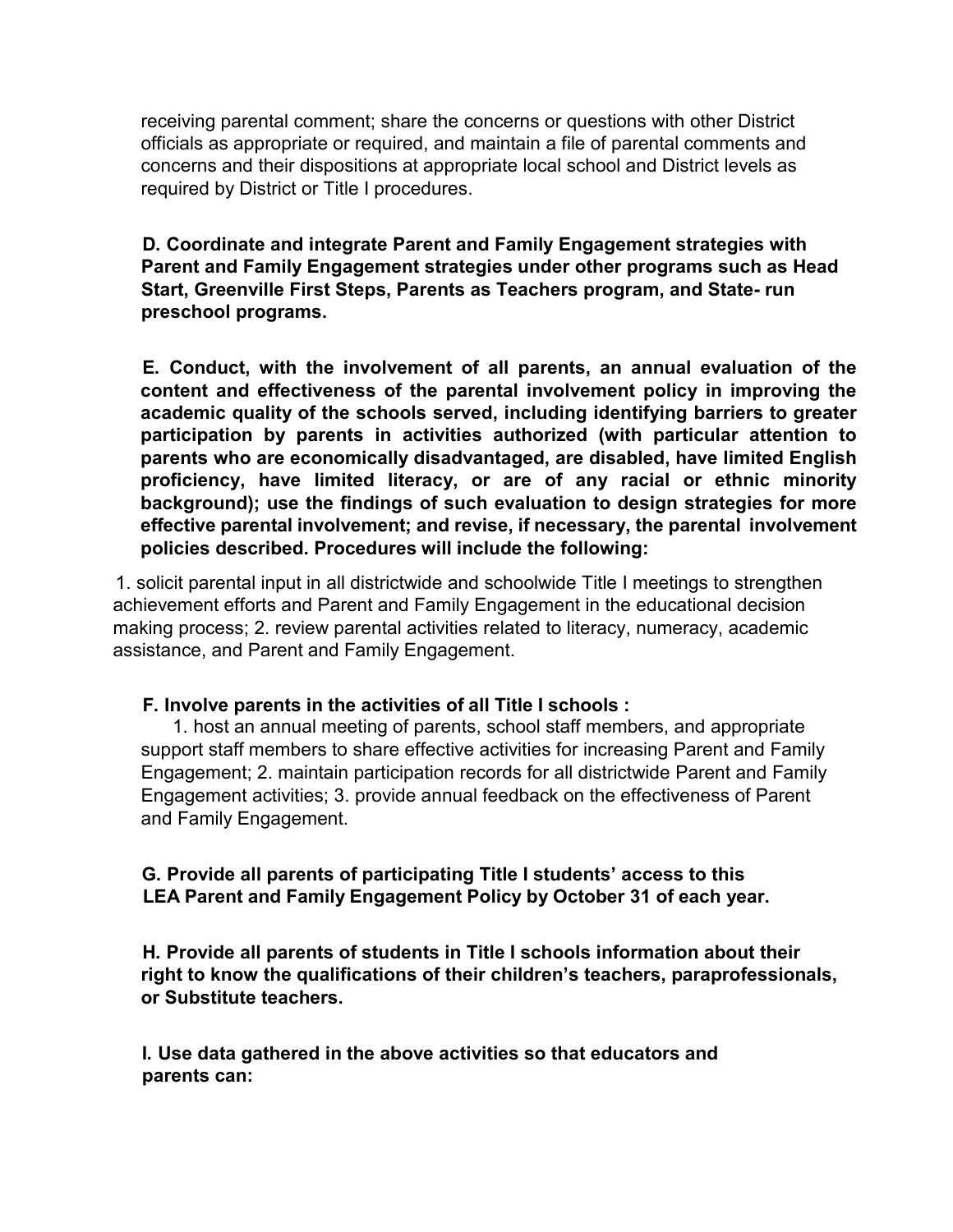receiving parental comment; share the concerns or questions with other District officials as appropriate or required, and maintain a file of parental comments and concerns and their dispositions at appropriate local school and District levels as required by District or Title I procedures.

**D. Coordinate and integrate Parent and Family Engagement strategies with Parent and Family Engagement strategies under other programs such as Head Start, Greenville First Steps, Parents as Teachers program, and State- run preschool programs.**

**E. Conduct, with the involvement of all parents, an annual evaluation of the content and effectiveness of the parental involvement policy in improving the academic quality of the schools served, including identifying barriers to greater participation by parents in activities authorized (with particular attention to parents who are economically disadvantaged, are disabled, have limited English proficiency, have limited literacy, or are of any racial or ethnic minority background); use the findings of such evaluation to design strategies for more effective parental involvement; and revise, if necessary, the parental involvement policies described. Procedures will include the following:**

1. solicit parental input in all districtwide and schoolwide Title I meetings to strengthen achievement efforts and Parent and Family Engagement in the educational decision making process; 2. review parental activities related to literacy, numeracy, academic assistance, and Parent and Family Engagement.

#### **F. Involve parents in the activities of all Title I schools :**

1. host an annual meeting of parents, school staff members, and appropriate support staff members to share effective activities for increasing Parent and Family Engagement; 2. maintain participation records for all districtwide Parent and Family Engagement activities; 3. provide annual feedback on the effectiveness of Parent and Family Engagement.

### **G. Provide all parents of participating Title I students' access to this LEA Parent and Family Engagement Policy by October 31 of each year.**

**H. Provide all parents of students in Title I schools information about their right to know the qualifications of their children's teachers, paraprofessionals, or Substitute teachers.**

**I. Use data gathered in the above activities so that educators and parents can:**